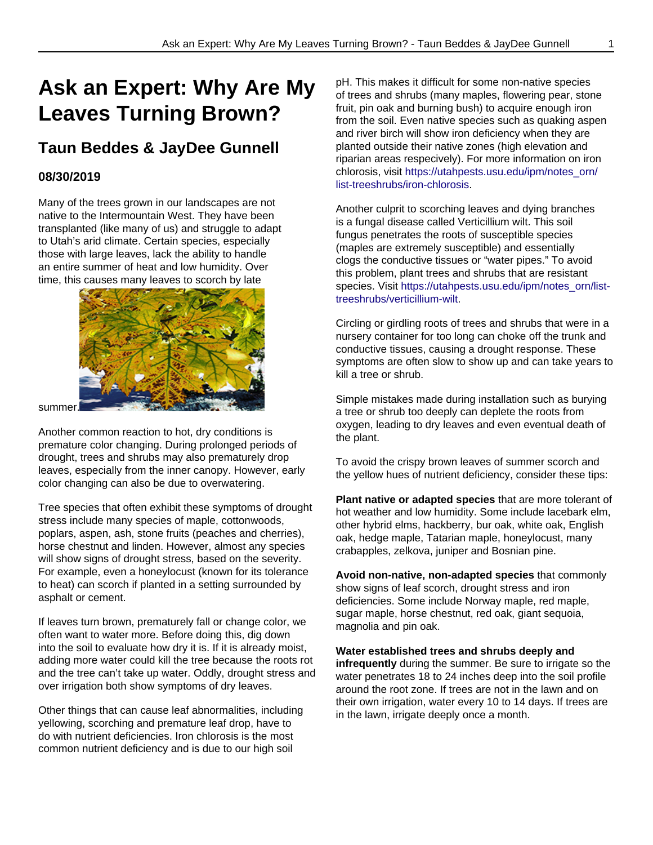## **Ask an Expert: Why Are My Leaves Turning Brown?**

## **Taun Beddes & JayDee Gunnell**

## **08/30/2019**

Many of the trees grown in our landscapes are not native to the Intermountain West. They have been transplanted (like many of us) and struggle to adapt to Utah's arid climate. Certain species, especially those with large leaves, lack the ability to handle an entire summer of heat and low humidity. Over time, this causes many leaves to scorch by late



summer.

Another common reaction to hot, dry conditions is premature color changing. During prolonged periods of drought, trees and shrubs may also prematurely drop leaves, especially from the inner canopy. However, early color changing can also be due to overwatering.

Tree species that often exhibit these symptoms of drought stress include many species of maple, cottonwoods, poplars, aspen, ash, stone fruits (peaches and cherries), horse chestnut and linden. However, almost any species will show signs of drought stress, based on the severity. For example, even a honeylocust (known for its tolerance to heat) can scorch if planted in a setting surrounded by asphalt or cement.

If leaves turn brown, prematurely fall or change color, we often want to water more. Before doing this, dig down into the soil to evaluate how dry it is. If it is already moist, adding more water could kill the tree because the roots rot and the tree can't take up water. Oddly, drought stress and over irrigation both show symptoms of dry leaves.

Other things that can cause leaf abnormalities, including yellowing, scorching and premature leaf drop, have to do with nutrient deficiencies. Iron chlorosis is the most common nutrient deficiency and is due to our high soil

pH. This makes it difficult for some non-native species of trees and shrubs (many maples, flowering pear, stone fruit, pin oak and burning bush) to acquire enough iron from the soil. Even native species such as quaking aspen and river birch will show iron deficiency when they are planted outside their native zones (high elevation and riparian areas respecively). For more information on iron chlorosis, visit [https://utahpests.usu.edu/ipm/notes\\_orn/](https://utahpests.usu.edu/ipm/notes_orn/list-treeshrubs/iron-chlorosis) [list-treeshrubs/iron-chlorosis](https://utahpests.usu.edu/ipm/notes_orn/list-treeshrubs/iron-chlorosis).

Another culprit to scorching leaves and dying branches is a fungal disease called Verticillium wilt. This soil fungus penetrates the roots of susceptible species (maples are extremely susceptible) and essentially clogs the conductive tissues or "water pipes." To avoid this problem, plant trees and shrubs that are resistant species. Visit [https://utahpests.usu.edu/ipm/notes\\_orn/list](https://utahpests.usu.edu/ipm/notes_orn/list-treeshrubs/verticillium-wilt)[treeshrubs/verticillium-wilt](https://utahpests.usu.edu/ipm/notes_orn/list-treeshrubs/verticillium-wilt).

Circling or girdling roots of trees and shrubs that were in a nursery container for too long can choke off the trunk and conductive tissues, causing a drought response. These symptoms are often slow to show up and can take years to kill a tree or shrub.

Simple mistakes made during installation such as burying a tree or shrub too deeply can deplete the roots from oxygen, leading to dry leaves and even eventual death of the plant.

To avoid the crispy brown leaves of summer scorch and the yellow hues of nutrient deficiency, consider these tips:

**Plant native or adapted species** that are more tolerant of hot weather and low humidity. Some include lacebark elm, other hybrid elms, hackberry, bur oak, white oak, English oak, hedge maple, Tatarian maple, honeylocust, many crabapples, zelkova, juniper and Bosnian pine.

**Avoid non-native, non-adapted species** that commonly show signs of leaf scorch, drought stress and iron deficiencies. Some include Norway maple, red maple, sugar maple, horse chestnut, red oak, giant sequoia, magnolia and pin oak.

**Water established trees and shrubs deeply and infrequently** during the summer. Be sure to irrigate so the water penetrates 18 to 24 inches deep into the soil profile around the root zone. If trees are not in the lawn and on their own irrigation, water every 10 to 14 days. If trees are in the lawn, irrigate deeply once a month.